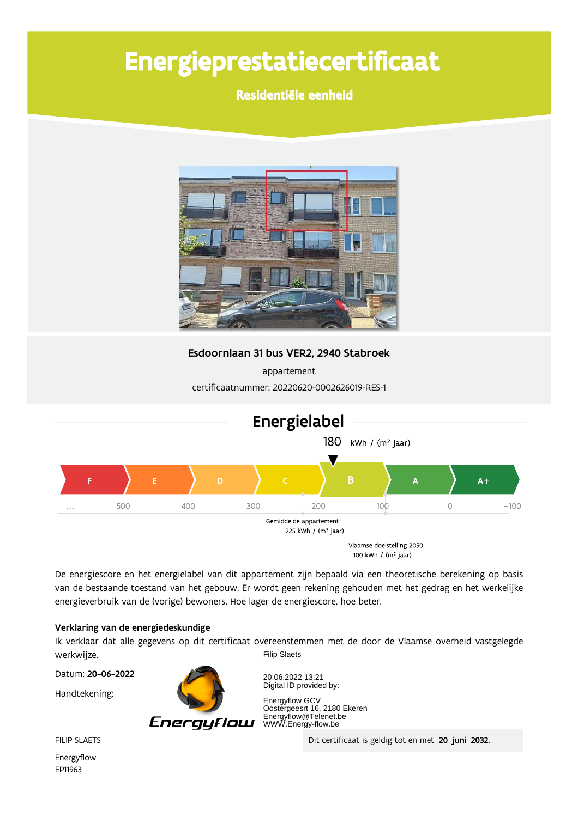# Energieprestatiecertificaat

Residentiële eenheid



Esdoornlaan 31 bus VER2, 2940 Stabroek

appartement certificaatnummer: 20220620-0002626019-RES-1



De energiescore en het energielabel van dit appartement zijn bepaald via een theoretische berekening op basis van de bestaande toestand van het gebouw. Er wordt geen rekening gehouden met het gedrag en het werkelijke energieverbruik van de (vorige) bewoners. Hoe lager de energiescore, hoe beter.

### Verklaring van de energiedeskundige

Ik verklaar dat alle gegevens op dit certificaat overeenstemmen met de door de Vlaamse overheid vastgelegde werkwijze. **Filip Slaets** 

Datum: 20-06-2022

Handtekening:



20.06.2022 13:21 Digital ID provided by:

Energyflow GCV Energynow GCV<br>Oostergeesrt 16, 2180 Ekeren<br>Energyflow@Telenet.be<br>WWW.Energy-flow.be

Dit certificaat is geldig tot en met 20 juni 2032.

**FILIP SLAETS** 

Energyflow EP11963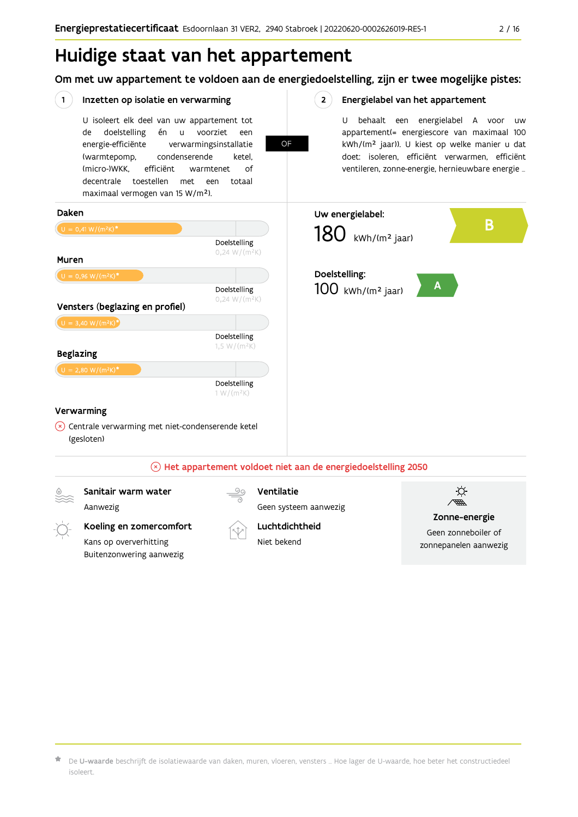Om met uw appartement te voldoen aan de energiedoelstelling, zijn er twee mogelijke pistes:



De U-waarde beschrijft de isolatiewaarde van daken, muren, vloeren, vensters ... Hoe lager de U-waarde, hoe beter het constructiedeel isoleert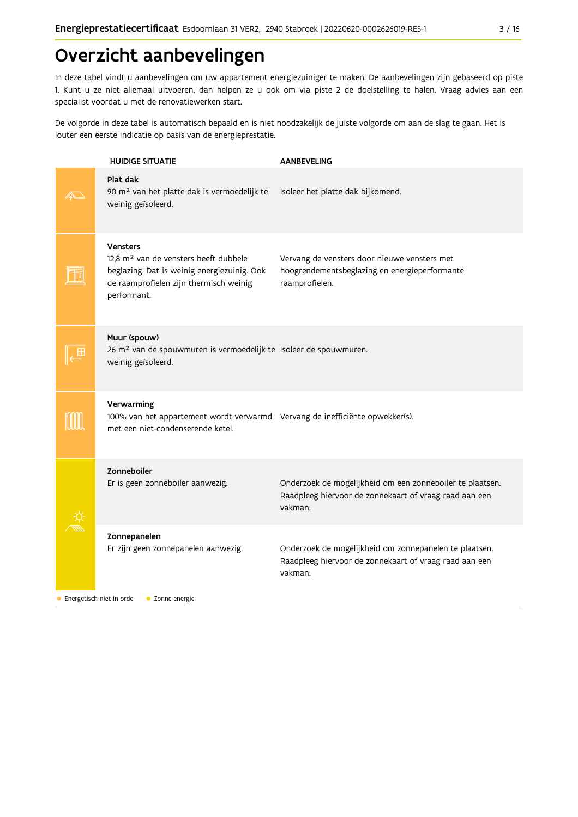# Overzicht aanbevelingen

In deze tabel vindt u aanbevelingen om uw appartement energiezuiniger te maken. De aanbevelingen zijn gebaseerd op piste 1. Kunt u ze niet allemaal uitvoeren, dan helpen ze u ook om via piste 2 de doelstelling te halen. Vraag advies aan een specialist voordat u met de renovatiewerken start.

De volgorde in deze tabel is automatisch bepaald en is niet noodzakelijk de juiste volgorde om aan de slag te gaan. Het is louter een eerste indicatie op basis van de energieprestatie.

| <b>HUIDIGE SITUATIE</b>                                                                                                                                                      | <b>AANBEVELING</b>                                                                                                             |
|------------------------------------------------------------------------------------------------------------------------------------------------------------------------------|--------------------------------------------------------------------------------------------------------------------------------|
| Plat dak<br>90 m <sup>2</sup> van het platte dak is vermoedelijk te<br>weinig geïsoleerd.                                                                                    | Isoleer het platte dak bijkomend.                                                                                              |
| <b>Vensters</b><br>12,8 m <sup>2</sup> van de vensters heeft dubbele<br>beglazing. Dat is weinig energiezuinig. Ook<br>de raamprofielen zijn thermisch weinig<br>performant. | Vervang de vensters door nieuwe vensters met<br>hoogrendementsbeglazing en energieperformante<br>raamprofielen.                |
| Muur (spouw)<br>26 m <sup>2</sup> van de spouwmuren is vermoedelijk te Isoleer de spouwmuren.<br>weinig geïsoleerd.                                                          |                                                                                                                                |
| Verwarming<br>100% van het appartement wordt verwarmd Vervang de inefficiënte opwekker(s).<br>met een niet-condenserende ketel.                                              |                                                                                                                                |
| Zonneboiler<br>Er is geen zonneboiler aanwezig.                                                                                                                              | Onderzoek de mogelijkheid om een zonneboiler te plaatsen.<br>Raadpleeg hiervoor de zonnekaart of vraag raad aan een<br>vakman. |
| Zonnepanelen<br>Er zijn geen zonnepanelen aanwezig.                                                                                                                          | Onderzoek de mogelijkheid om zonnepanelen te plaatsen.<br>Raadpleeg hiervoor de zonnekaart of vraag raad aan een<br>vakman.    |
| Energetisch niet in orde<br>• Zonne-energie                                                                                                                                  |                                                                                                                                |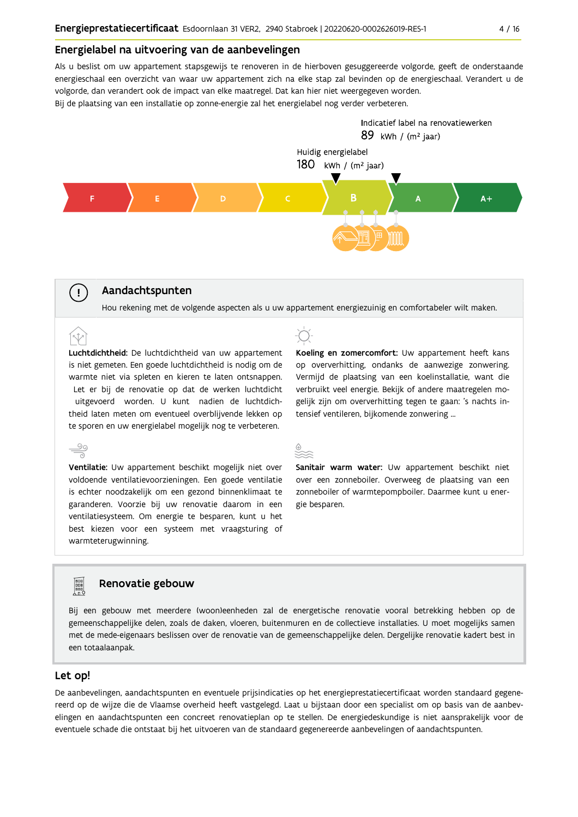### Energielabel na uitvoering van de aanbevelingen

Als u beslist om uw appartement stapsgewijs te renoveren in de hierboven gesuggereerde volgorde, geeft de onderstaande energieschaal een overzicht van waar uw appartement zich na elke stap zal bevinden op de energieschaal. Verandert u de volgorde, dan verandert ook de impact van elke maatregel. Dat kan hier niet weergegeven worden.

Bij de plaatsing van een installatie op zonne-energie zal het energielabel nog verder verbeteren.



# Aandachtspunten

 $\left( \cdot \right)$ 

Hou rekening met de volgende aspecten als u uw appartement energiezuinig en comfortabeler wilt maken.

Luchtdichtheid: De luchtdichtheid van uw appartement is niet gemeten. Een goede luchtdichtheid is nodig om de warmte niet via spleten en kieren te laten ontsnappen. Let er bij de renovatie op dat de werken luchtdicht uitgevoerd worden. U kunt nadien de luchtdichtheid laten meten om eventueel overblijvende lekken op te sporen en uw energielabel mogelijk nog te verbeteren.

 $\overset{\circ}{=}$ Ventilatie: Uw appartement beschikt mogelijk niet over voldoende ventilatievoorzieningen. Een goede ventilatie is echter noodzakelijk om een gezond binnenklimaat te garanderen. Voorzie bij uw renovatie daarom in een ventilatiesysteem. Om energie te besparen, kunt u het best kiezen voor een systeem met vraagsturing of warmteterugwinning.

Koeling en zomercomfort: Uw appartement heeft kans op oververhitting, ondanks de aanwezige zonwering. Vermijd de plaatsing van een koelinstallatie, want die verbruikt veel energie. Bekijk of andere maatregelen mogelijk zijn om oververhitting tegen te gaan: 's nachts intensief ventileren, bijkomende zonwering ...



Sanitair warm water: Uw appartement beschikt niet over een zonneboiler. Overweeg de plaatsing van een zonneboiler of warmtepompboiler. Daarmee kunt u energie besparen.

# Renovatie gebouw

Bij een gebouw met meerdere (woon)eenheden zal de energetische renovatie vooral betrekking hebben op de gemeenschappelijke delen, zoals de daken, vloeren, buitenmuren en de collectieve installaties. U moet mogelijks samen met de mede-eigenaars beslissen over de renovatie van de gemeenschappelijke delen. Dergelijke renovatie kadert best in een totaalaanpak.

#### Let op!

**Property** 

De aanbevelingen, aandachtspunten en eventuele prijsindicaties op het energieprestatiecertificaat worden standaard gegenereerd op de wijze die de Vlaamse overheid heeft vastgelegd. Laat u bijstaan door een specialist om op basis van de aanbevelingen en aandachtspunten een concreet renovatieplan op te stellen. De energiedeskundige is niet aansprakelijk voor de eventuele schade die ontstaat bij het uitvoeren van de standaard gegenereerde aanbevelingen of aandachtspunten.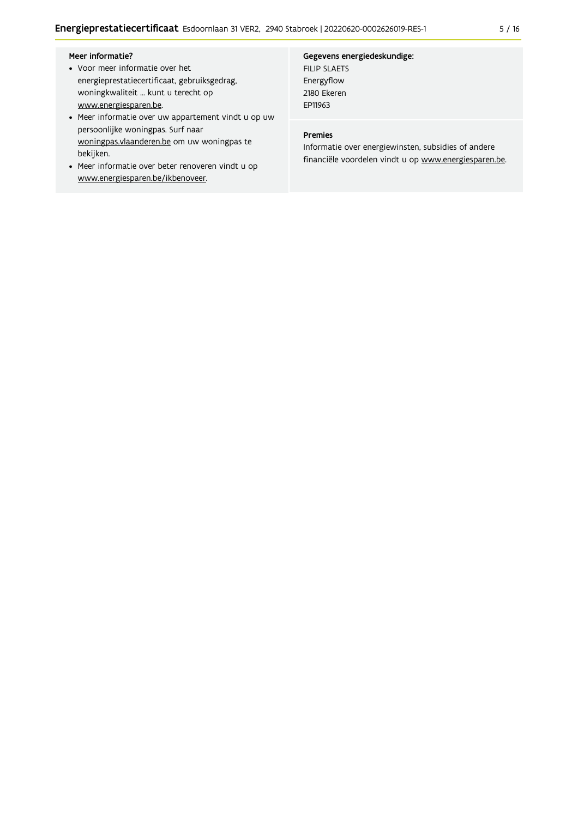#### Meer informatie?

- Voor meer informatie over het energieprestatiecertificaat, gebruiksgedrag, woningkwaliteit ... kunt u terecht op www.energiesparen.be.
- Meer informatie over uw appartement vindt u op uw persoonlijke woningpas. Surf naar woningpas.vlaanderen.be om uw woningpas te bekijken.
- Meer informatie over beter renoveren vindt u op www.energiesparen.be/ikbenoveer.

#### Gegevens energiedeskundige:

FILIP SLAETS Energyflow 2180 Ekeren EP11963

# Premies

Informatie over energiewinsten, subsidies of andere financiële voordelen vindt u op www.energiesparen.be.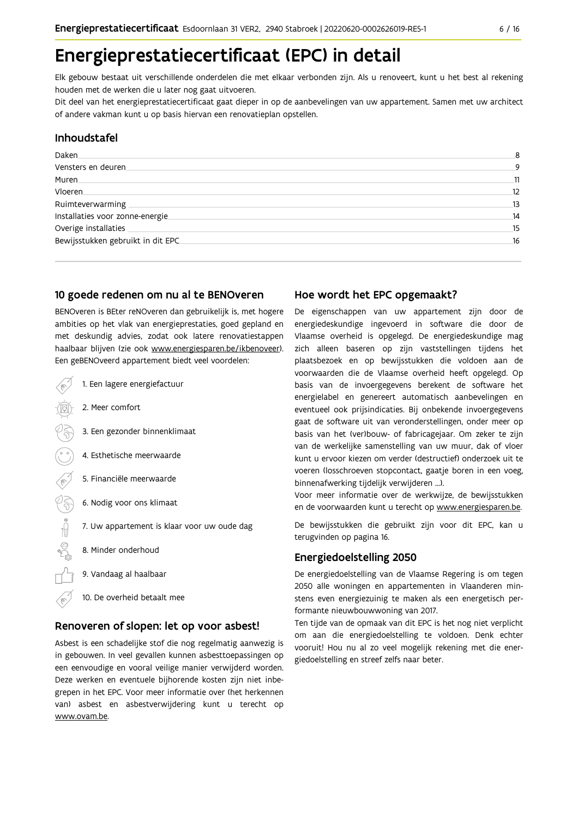# Energieprestatiecertificaat (EPC) in detail

Elk gebouw bestaat uit verschillende onderdelen die met elkaar verbonden zijn. Als u renoveert, kunt u het best al rekening houden met de werken die u later nog gaat uitvoeren.

Dit deel van het energieprestatiecertificaat gaat dieper in op de aanbevelingen van uw appartement. Samen met uw architect of andere vakman kunt u op basis hiervan een renovatieplan opstellen.

# Inhoudstafel

| Daken.                             | 8  |
|------------------------------------|----|
| Vensters en deuren.                | 9  |
| Muren.                             | 11 |
| Vloeren                            | 12 |
| Ruimteverwarming                   | 13 |
| Installaties voor zonne-energie.   | 14 |
| Overige installaties               | 15 |
| Bewijsstukken gebruikt in dit EPC. | 16 |
|                                    |    |

### 10 goede redenen om nu al te BENOveren

BENOveren is BEter reNOveren dan gebruikelijk is, met hogere ambities op het vlak van energieprestaties, goed gepland en met deskundig advies, zodat ook latere renovatiestappen haalbaar blijven (zie ook www.energiesparen.be/ikbenoveer). Een geBENOveerd appartement biedt veel voordelen:

- 1. Een lagere energiefactuur 2. Meer comfort 3. Een gezonder binnenklimaat 4. Esthetische meerwaarde 5. Financiële meerwaarde  $\frac{1}{2}$ 6. Nodig voor ons klimaat 7. Uw appartement is klaar voor uw oude dag 8. Minder onderhoud 9. Vandaag al haalbaar
	- 10. De overheid betaalt mee

### Renoveren of slopen: let op voor asbest!

Asbest is een schadelijke stof die nog regelmatig aanwezig is in gebouwen. In veel gevallen kunnen asbesttoepassingen op een eenvoudige en vooral veilige manier verwijderd worden. Deze werken en eventuele bijhorende kosten zijn niet inbegrepen in het EPC. Voor meer informatie over (het herkennen van) asbest en asbestverwijdering kunt u terecht op www.ovam.be.

# Hoe wordt het EPC opgemaakt?

De eigenschappen van uw appartement zijn door de energiedeskundige ingevoerd in software die door de Vlaamse overheid is opgelegd. De energiedeskundige mag zich alleen baseren op zijn vaststellingen tijdens het plaatsbezoek en op bewijsstukken die voldoen aan de voorwaarden die de Vlaamse overheid heeft opgelegd. Op basis van de invoergegevens berekent de software het energielabel en genereert automatisch aanbevelingen en eventueel ook prijsindicaties. Bij onbekende invoergegevens gaat de software uit van veronderstellingen, onder meer op basis van het (ver)bouw- of fabricagejaar. Om zeker te zijn van de werkelijke samenstelling van uw muur, dak of vloer kunt u ervoor kiezen om verder (destructief) onderzoek uit te voeren (losschroeven stopcontact, gaatje boren in een voeg, binnenafwerking tijdelijk verwijderen ...).

Voor meer informatie over de werkwijze, de bewijsstukken en de voorwaarden kunt u terecht op www.energiesparen.be.

De bewijsstukken die gebruikt zijn voor dit EPC, kan u terugvinden op pagina 16.

### **Energiedoelstelling 2050**

De energiedoelstelling van de Vlaamse Regering is om tegen 2050 alle woningen en appartementen in Vlaanderen minstens even energiezuinig te maken als een energetisch performante nieuwbouwwoning van 2017.

Ten tijde van de opmaak van dit EPC is het nog niet verplicht om aan die energiedoelstelling te voldoen. Denk echter vooruit! Hou nu al zo veel mogelijk rekening met die energiedoelstelling en streef zelfs naar beter.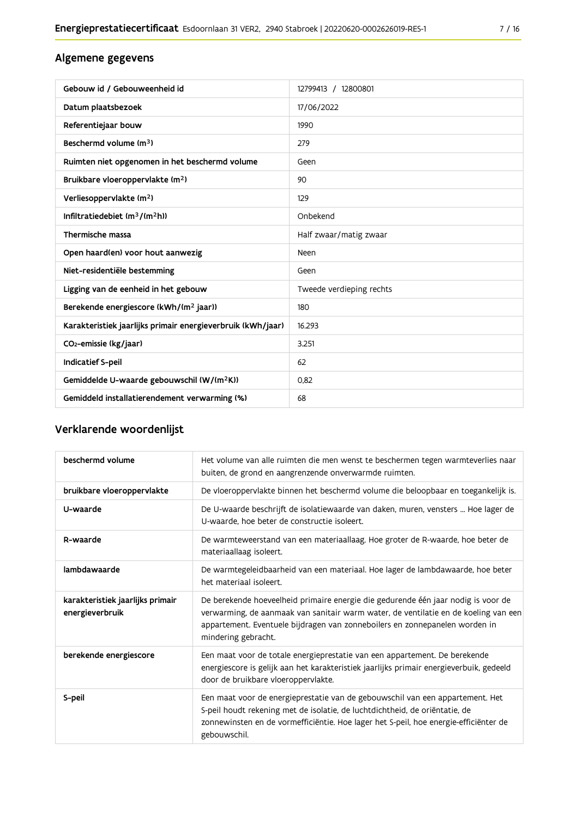# Algemene gegevens

| Gebouw id / Gebouweenheid id                                | 12799413 / 12800801      |
|-------------------------------------------------------------|--------------------------|
| Datum plaatsbezoek                                          | 17/06/2022               |
| Referentiejaar bouw                                         | 1990                     |
| Beschermd volume (m <sup>3</sup> )                          | 279                      |
| Ruimten niet opgenomen in het beschermd volume              | Geen                     |
| Bruikbare vloeroppervlakte (m <sup>2</sup> )                | 90                       |
| Verliesoppervlakte (m <sup>2</sup> )                        | 129                      |
| Infiltratiedebiet $(m^3/(m^2h))$                            | Onbekend                 |
| Thermische massa                                            | Half zwaar/matig zwaar   |
| Open haard(en) voor hout aanwezig                           | Neen                     |
| Niet-residentiële bestemming                                | Geen                     |
| Ligging van de eenheid in het gebouw                        | Tweede verdieping rechts |
| Berekende energiescore (kWh/(m <sup>2</sup> jaar))          | 180                      |
| Karakteristiek jaarlijks primair energieverbruik (kWh/jaar) | 16.293                   |
| CO <sub>2</sub> -emissie (kg/jaar)                          | 3.251                    |
| Indicatief S-peil                                           | 62                       |
| Gemiddelde U-waarde gebouwschil (W/(m <sup>2</sup> K))      | 0,82                     |
| Gemiddeld installatierendement verwarming (%)               | 68                       |

# Verklarende woordenlijst

| beschermd volume                                    | Het volume van alle ruimten die men wenst te beschermen tegen warmteverlies naar<br>buiten, de grond en aangrenzende onverwarmde ruimten.                                                                                                                                      |
|-----------------------------------------------------|--------------------------------------------------------------------------------------------------------------------------------------------------------------------------------------------------------------------------------------------------------------------------------|
| bruikbare vloeroppervlakte                          | De vloeroppervlakte binnen het beschermd volume die beloopbaar en toegankelijk is.                                                                                                                                                                                             |
| U-waarde                                            | De U-waarde beschrijft de isolatiewaarde van daken, muren, vensters  Hoe lager de<br>U-waarde, hoe beter de constructie isoleert.                                                                                                                                              |
| R-waarde                                            | De warmteweerstand van een materiaallaag. Hoe groter de R-waarde, hoe beter de<br>materiaallaag isoleert.                                                                                                                                                                      |
| lambdawaarde                                        | De warmtegeleidbaarheid van een materiaal. Hoe lager de lambdawaarde, hoe beter<br>het materiaal isoleert.                                                                                                                                                                     |
| karakteristiek jaarlijks primair<br>energieverbruik | De berekende hoeveelheid primaire energie die gedurende één jaar nodig is voor de<br>verwarming, de aanmaak van sanitair warm water, de ventilatie en de koeling van een<br>appartement. Eventuele bijdragen van zonneboilers en zonnepanelen worden in<br>mindering gebracht. |
| berekende energiescore                              | Een maat voor de totale energieprestatie van een appartement. De berekende<br>energiescore is gelijk aan het karakteristiek jaarlijks primair energieverbuik, gedeeld<br>door de bruikbare vloeroppervlakte.                                                                   |
| S-peil                                              | Een maat voor de energieprestatie van de gebouwschil van een appartement. Het<br>S-peil houdt rekening met de isolatie, de luchtdichtheid, de oriëntatie, de<br>zonnewinsten en de vormefficiëntie. Hoe lager het S-peil, hoe energie-efficiënter de<br>gebouwschil.           |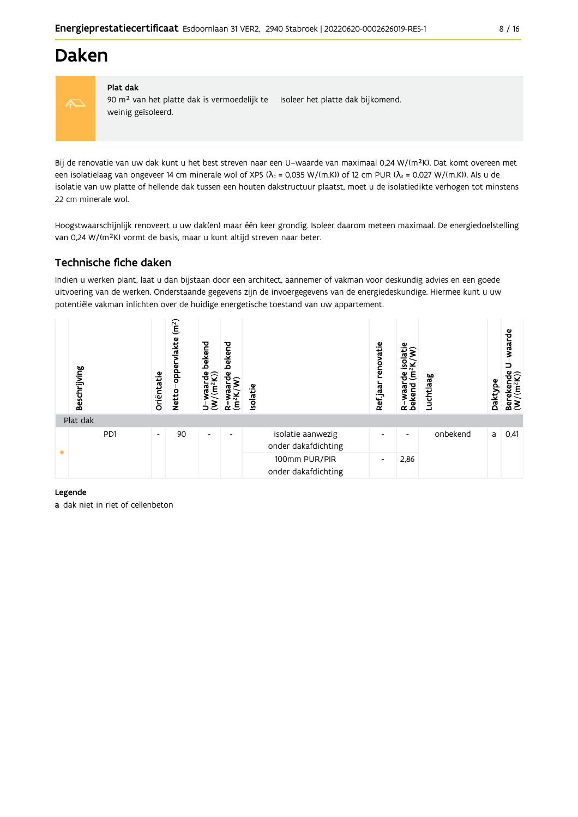# **Daken**



#### Plat dak

90 m<sup>2</sup> van het platte dak is vermoedelijk te Isoleer het platte dak bijkomend. weinig geïsoleerd.

Bij de renovatie van uw dak kunt u het best streven naar een U-waarde van maximaal 0,24 W/(m<sup>2</sup>K). Dat komt overeen met een isolatielaag van ongeveer 14 cm minerale wol of XPS ( $\lambda_d$  = 0,035 W/(m.K)) of 12 cm PUR ( $\lambda_d$  = 0,027 W/(m.K)). Als u de isolatie van uw platte of hellende dak tussen een houten dakstructuur plaatst, moet u de isolatiedikte verhogen tot minstens 22 cm minerale wol.

Hoogstwaarschijnlijk renoveert u uw dak(en) maar één keer grondig. Isoleer daarom meteen maximaal. De energiedoelstelling van 0,24 W/(m<sup>2</sup>K) vormt de basis, maar u kunt altijd streven naar beter.

# Technische fiche daken

Indien u werken plant, laat u dan bijstaan door een architect, aannemer of vakman voor deskundig advies en een goede uitvoering van de werken. Onderstaande gegevens zijn de invoergegevens van de energiedeskundige. Hiermee kunt u uw potentiële vakman inlichten over de huidige energetische toestand van uw appartement.

|           | Beschrijving | Oriëntatie               | (m <sup>2</sup> )<br><b>lakte</b><br>opper<br><b>Netto</b> | bekend<br>$\frac{W}{(m^2K)}$<br>ξ<br>∍ | bekend<br>용<br>$(m^2K)$<br>≃ | Isolatie                                 | renovatie<br>Refjaar     | solatie<br>(m <sup>2</sup> K)<br>은<br>waar<br>bekend<br>$\alpha$ | Luchtlaag | Daktype | waarde<br>Berekende<br>$(W/(m^2K))$ |
|-----------|--------------|--------------------------|------------------------------------------------------------|----------------------------------------|------------------------------|------------------------------------------|--------------------------|------------------------------------------------------------------|-----------|---------|-------------------------------------|
|           | Plat dak     |                          |                                                            |                                        |                              |                                          |                          |                                                                  |           |         |                                     |
| $\bullet$ | PD1          | $\overline{\phantom{a}}$ | 90                                                         | $\overline{\phantom{a}}$               | $\overline{\phantom{0}}$     | isolatie aanwezig<br>onder dakafdichting | ٠                        | ٠                                                                | onbekend  | a       | 0,41                                |
|           |              |                          |                                                            |                                        |                              | 100mm PUR/PIR<br>onder dakafdichting     | $\overline{\phantom{a}}$ | 2,86                                                             |           |         |                                     |

#### Legende

a dak niet in riet of cellenbeton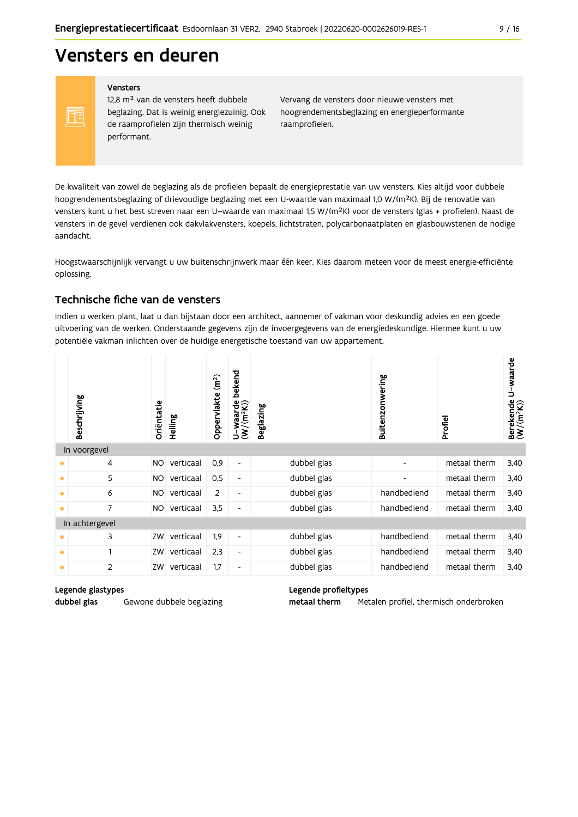# Vensters en deuren

Vensters

FF

12,8 m<sup>2</sup> van de vensters heeft dubbele beglazing. Dat is weinig energiezuinig. Ook de raamprofielen zijn thermisch weinig performant.

Vervang de vensters door nieuwe vensters met hoogrendementsbeglazing en energieperformante raamprofielen.

De kwaliteit van zowel de beglazing als de profielen bepaalt de energieprestatie van uw vensters. Kies altijd voor dubbele hoogrendementsbeglazing of drievoudige beglazing met een U-waarde van maximaal 1,0 W/(m<sup>2</sup>K). Bij de renovatie van vensters kunt u het best streven naar een U-waarde van maximaal 1,5 W/(m<sup>2</sup>K) voor de vensters (glas + profielen). Naast de vensters in de gevel verdienen ook dakvlakvensters, koepels, lichtstraten, polycarbonaatplaten en glasbouwstenen de nodige aandacht.

Hoogstwaarschijnlijk vervangt u uw buitenschrijnwerk maar één keer. Kies daarom meteen voor de meest energie-efficiënte oplossing.

### Technische fiche van de vensters

Indien u werken plant, laat u dan bijstaan door een architect, aannemer of vakman voor deskundig advies en een goede uitvoering van de werken. Onderstaande gegevens zijn de invoergegevens van de energiedeskundige. Hiermee kunt u uw potentiële vakman inlichten over de huidige energetische toestand van uw appartement.

|           | Beschrijving   | Orientatie | Helling   | $\left( \mathbf{m}^{2}\right)$<br>Oppervlakte | bekend<br>$\frac{\mathsf{U}-\mathsf{waarde}}{\mathsf{(W/(m^2K))}}$ | <b>Beglazing</b> | Buitenzonwering          | Profiel      | Berekende U-waarde<br>(W/(m <sup>2</sup> K)) |
|-----------|----------------|------------|-----------|-----------------------------------------------|--------------------------------------------------------------------|------------------|--------------------------|--------------|----------------------------------------------|
|           | In voorgevel   |            |           |                                               |                                                                    |                  |                          |              |                                              |
| ٠         | 4              | <b>NO</b>  | verticaal | 0,9                                           | $\blacksquare$                                                     | dubbel glas      | ٠                        | metaal therm | 3,40                                         |
| $\bullet$ | 5              | <b>NO</b>  | verticaal | 0,5                                           | $\overline{\phantom{a}}$                                           | dubbel glas      | $\overline{\phantom{a}}$ | metaal therm | 3,40                                         |
| ٠         | 6              | NO.        | verticaal | $\overline{2}$                                | $\overline{\phantom{a}}$                                           | dubbel glas      | handbediend              | metaal therm | 3,40                                         |
| $\bullet$ | 7              | NO.        | verticaal | 3,5                                           | $\overline{\phantom{a}}$                                           | dubbel glas      | handbediend              | metaal therm | 3,40                                         |
|           | In achtergevel |            |           |                                               |                                                                    |                  |                          |              |                                              |
| $\bullet$ | 3              | ZW         | verticaal | 1,9                                           | $\overline{\phantom{a}}$                                           | dubbel glas      | handbediend              | metaal therm | 3,40                                         |
| $\bullet$ | 1              | ZW         | verticaal | 2,3                                           | $\overline{\phantom{a}}$                                           | dubbel glas      | handbediend              | metaal therm | 3,40                                         |
| ٠         | 2              | ZW         | verticaal | 1,7                                           | $\overline{\phantom{a}}$                                           | dubbel glas      | handbediend              | metaal therm | 3,40                                         |

#### Legende glastypes

dubbel glas

Gewone dubbele beglazing

#### Legende profieltypes

metaal therm Metalen profiel, thermisch onderbroken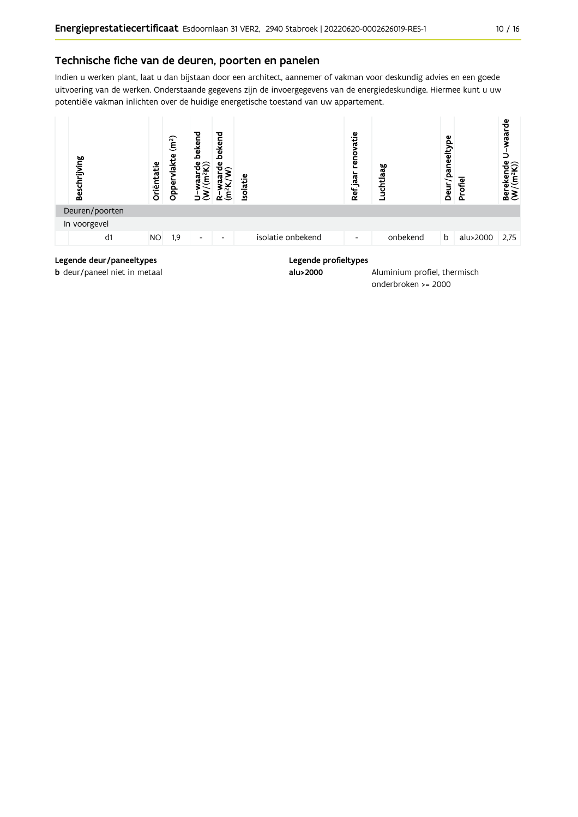### Technische fiche van de deuren, poorten en panelen

Indien u werken plant, laat u dan bijstaan door een architect, aannemer of vakman voor deskundig advies en een goede uitvoering van de werken. Onderstaande gegevens zijn de invoergegevens van de energiedeskundige. Hiermee kunt u uw potentiële vakman inlichten over de huidige energetische toestand van uw appartement.



onderbroken >= 2000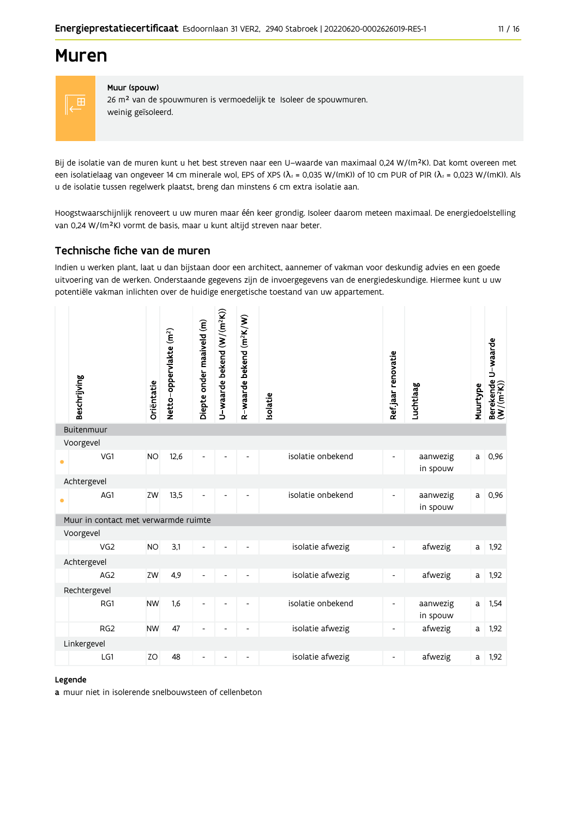# **Muren**



# Muur (spouw)

26 m<sup>2</sup> van de spouwmuren is vermoedelijk te Isoleer de spouwmuren. weinig geïsoleerd.

Bij de isolatie van de muren kunt u het best streven naar een U-waarde van maximaal 0,24 W/(m<sup>2</sup>K). Dat komt overeen met een isolatielaag van ongeveer 14 cm minerale wol, EPS of XPS ( $\lambda$ <sub>d</sub> = 0,035 W/(mK)) of 10 cm PUR of PIR ( $\lambda$ <sub>d</sub> = 0,023 W/(mK)). Als u de isolatie tussen regelwerk plaatst, breng dan minstens 6 cm extra isolatie aan.

Hoogstwaarschijnlijk renoveert u uw muren maar één keer grondig. Isoleer daarom meteen maximaal. De energiedoelstelling van 0,24 W/(m<sup>2</sup>K) vormt de basis, maar u kunt altijd streven naar beter.

# Technische fiche van de muren

Indien u werken plant, laat u dan bijstaan door een architect, aannemer of vakman voor deskundig advies en een goede uitvoering van de werken. Onderstaande gegevens zijn de invoergegevens van de energiedeskundige. Hiermee kunt u uw potentiële vakman inlichten over de huidige energetische toestand van uw appartement.

|           | Beschrijving                         | Oriëntatie | Netto-oppervlakte (m <sup>2</sup> ) | Diepte onder maaiveld (m) | U-waarde bekend (W/(m <sup>2</sup> K)) | R-waarde bekend (m <sup>2</sup> K/W) | Isolatie |                   | Ref.jaar renovatie           | Luchtlaag            | Muurtype | Berekende U-waarde<br>(W/(m <sup>2</sup> K)) |
|-----------|--------------------------------------|------------|-------------------------------------|---------------------------|----------------------------------------|--------------------------------------|----------|-------------------|------------------------------|----------------------|----------|----------------------------------------------|
|           | Buitenmuur                           |            |                                     |                           |                                        |                                      |          |                   |                              |                      |          |                                              |
|           | Voorgevel                            |            |                                     |                           |                                        |                                      |          |                   |                              |                      |          |                                              |
| ۰         | VG1                                  | <b>NO</b>  | 12,6                                | L,                        |                                        |                                      |          | isolatie onbekend | L,                           | aanwezig<br>in spouw | a        | 0,96                                         |
|           | Achtergevel                          |            |                                     |                           |                                        |                                      |          |                   |                              |                      |          |                                              |
| $\bullet$ | AG1                                  | ZW         | 13,5                                |                           |                                        |                                      |          | isolatie onbekend | $\overline{a}$               | aanwezig<br>in spouw | a        | 0,96                                         |
|           | Muur in contact met verwarmde ruimte |            |                                     |                           |                                        |                                      |          |                   |                              |                      |          |                                              |
|           | Voorgevel                            |            |                                     |                           |                                        |                                      |          |                   |                              |                      |          |                                              |
|           | VG <sub>2</sub>                      | <b>NO</b>  | 3,1                                 |                           |                                        |                                      |          | isolatie afwezig  | $\qquad \qquad \blacksquare$ | afwezig              | a        | 1,92                                         |
|           | Achtergevel                          |            |                                     |                           |                                        |                                      |          |                   |                              |                      |          |                                              |
|           | AG <sub>2</sub>                      | ZW         | 4,9                                 | Ē,                        |                                        |                                      |          | isolatie afwezig  | $\overline{\phantom{0}}$     | afwezig              | a        | 1,92                                         |
|           | Rechtergevel                         |            |                                     |                           |                                        |                                      |          |                   |                              |                      |          |                                              |
|           | RG1                                  | <b>NW</b>  | 1,6                                 | $\overline{\phantom{a}}$  | $\overline{\phantom{0}}$               | $\overline{\phantom{a}}$             |          | isolatie onbekend | $\overline{\phantom{a}}$     | aanwezig<br>in spouw | a        | 1,54                                         |
|           | RG <sub>2</sub>                      | <b>NW</b>  | 47                                  | $\overline{\phantom{0}}$  | $\overline{\phantom{a}}$               | $\overline{\phantom{0}}$             |          | isolatie afwezig  | $\qquad \qquad \blacksquare$ | afwezig              | a        | 1,92                                         |
|           | Linkergevel                          |            |                                     |                           |                                        |                                      |          |                   |                              |                      |          |                                              |
|           | LG1                                  | ZO         | 48                                  | ۰                         |                                        |                                      |          | isolatie afwezig  | $\overline{\phantom{0}}$     | afwezig              | a        | 1,92                                         |
|           |                                      |            |                                     |                           |                                        |                                      |          |                   |                              |                      |          |                                              |

#### Legende

a muur niet in isolerende snelbouwsteen of cellenbeton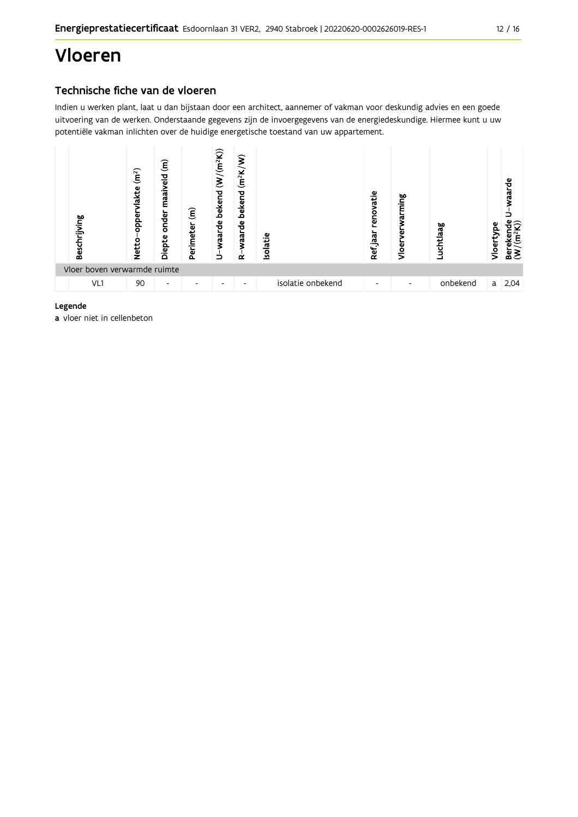# Vloeren

# Technische fiche van de vloeren

Indien u werken plant, laat u dan bijstaan door een architect, aannemer of vakman voor deskundig advies en een goede uitvoering van de werken. Onderstaande gegevens zijn de invoergegevens van de energiedeskundige. Hiermee kunt u uw potentiële vakman inlichten over de huidige energetische toestand van uw appartement.



#### Legende

a vloer niet in cellenbeton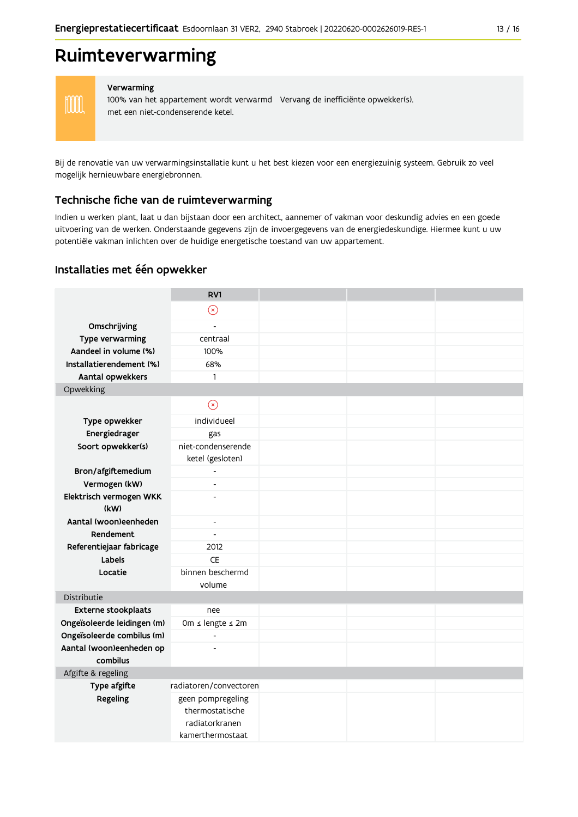# Ruimteverwarming



#### Verwarming

100% van het appartement wordt verwarmd Vervang de inefficiënte opwekker(s). met een niet-condenserende ketel.

Bij de renovatie van uw verwarmingsinstallatie kunt u het best kiezen voor een energiezuinig systeem. Gebruik zo veel mogelijk hernieuwbare energiebronnen.

### Technische fiche van de ruimteverwarming

Indien u werken plant, laat u dan bijstaan door een architect, aannemer of vakman voor deskundig advies en een goede uitvoering van de werken. Onderstaande gegevens zijn de invoergegevens van de energiedeskundige. Hiermee kunt u uw potentiële vakman inlichten over de huidige energetische toestand van uw appartement.

### Installaties met één opwekker

|                                          | RV1                      |  |  |
|------------------------------------------|--------------------------|--|--|
|                                          | $\circledast$            |  |  |
| Omschrijving                             | $\overline{a}$           |  |  |
| Type verwarming                          | centraal                 |  |  |
| Aandeel in volume (%)                    | 100%                     |  |  |
| Installatierendement (%)                 | 68%                      |  |  |
| Aantal opwekkers                         | $\mathbf{1}$             |  |  |
| Opwekking                                |                          |  |  |
|                                          | $\circledR$              |  |  |
| Type opwekker                            | individueel              |  |  |
| Energiedrager                            | gas                      |  |  |
| Soort opwekker(s)                        | niet-condenserende       |  |  |
|                                          | ketel (gesloten)         |  |  |
| Bron/afgiftemedium                       | $\overline{a}$<br>÷,     |  |  |
| Vermogen (kW)<br>Elektrisch vermogen WKK | L,                       |  |  |
| (kW)                                     |                          |  |  |
| Aantal (woon)eenheden                    | $\overline{\phantom{a}}$ |  |  |
| Rendement                                | $\blacksquare$           |  |  |
| Referentiejaar fabricage                 | 2012                     |  |  |
| Labels                                   | <b>CE</b>                |  |  |
| Locatie                                  | binnen beschermd         |  |  |
|                                          | volume                   |  |  |
| Distributie                              |                          |  |  |
| Externe stookplaats                      | nee                      |  |  |
| Ongeïsoleerde leidingen (m)              | 0m ≤ lengte ≤ 2m         |  |  |
| Ongeïsoleerde combilus (m)               | $\overline{a}$           |  |  |
| Aantal (woon)eenheden op<br>combilus     | $\overline{a}$           |  |  |
| Afgifte & regeling                       |                          |  |  |
| Type afgifte                             | radiatoren/convectoren   |  |  |
| Regeling                                 | geen pompregeling        |  |  |
|                                          | thermostatische          |  |  |
|                                          | radiatorkranen           |  |  |
|                                          | kamerthermostaat         |  |  |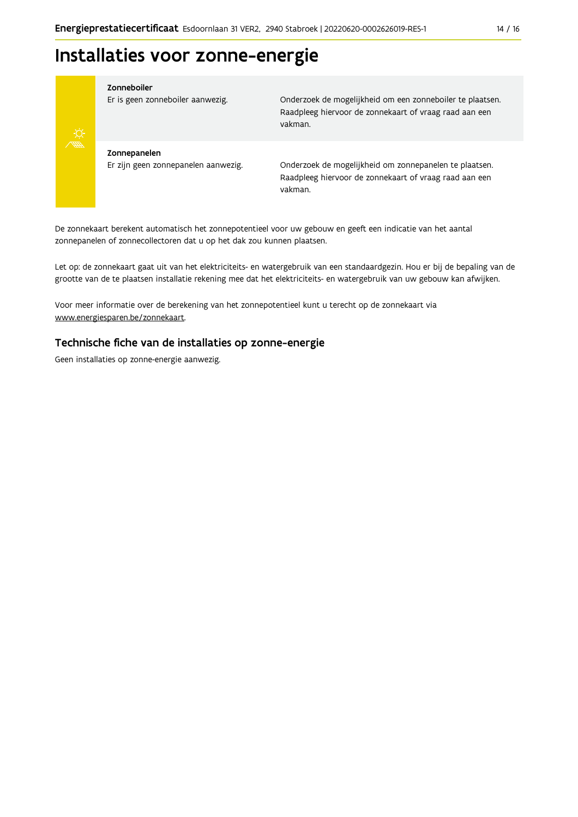# Installaties voor zonne-energie



#### Zonneboiler

Er is geen zonneboiler aanwezig.

Onderzoek de mogelijkheid om een zonneboiler te plaatsen. Raadpleeg hiervoor de zonnekaart of vraag raad aan een vakman.

Zonnepanelen Er zijn geen zonnepanelen aanwezig.

Onderzoek de mogelijkheid om zonnepanelen te plaatsen. Raadpleeg hiervoor de zonnekaart of vraag raad aan een vakman.

De zonnekaart berekent automatisch het zonnepotentieel voor uw gebouw en geeft een indicatie van het aantal zonnepanelen of zonnecollectoren dat u op het dak zou kunnen plaatsen.

Let op: de zonnekaart gaat uit van het elektriciteits- en watergebruik van een standaardgezin. Hou er bij de bepaling van de grootte van de te plaatsen installatie rekening mee dat het elektriciteits- en watergebruik van uw gebouw kan afwijken.

Voor meer informatie over de berekening van het zonnepotentieel kunt u terecht op de zonnekaart via www.energiesparen.be/zonnekaart.

### Technische fiche van de installaties op zonne-energie

Geen installaties op zonne-energie aanwezig.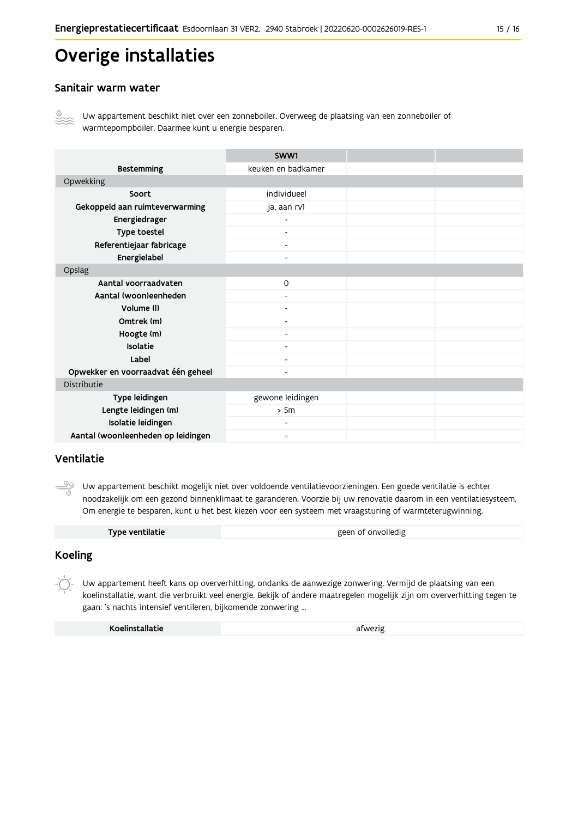# **Overige installaties**

### Sanitair warm water



Uw appartement beschikt niet over een zonneboiler. Overweeg de plaatsing van een zonneboiler of warmtepompboiler. Daarmee kunt u energie besparen.

|                                    | SWW1                     |  |
|------------------------------------|--------------------------|--|
| <b>Bestemming</b>                  | keuken en badkamer       |  |
| Opwekking                          |                          |  |
| Soort                              | individueel              |  |
| Gekoppeld aan ruimteverwarming     | ja, aan rv1              |  |
| Energiedrager                      |                          |  |
| Type toestel                       | $\overline{\phantom{a}}$ |  |
| Referentiejaar fabricage           | $\overline{\phantom{a}}$ |  |
| Energielabel                       | $\overline{\phantom{0}}$ |  |
| Opslag                             |                          |  |
| Aantal voorraadvaten               | $\Omega$                 |  |
| Aantal (woon)eenheden              |                          |  |
| Volume (I)                         | $\overline{\phantom{a}}$ |  |
| Omtrek (m)                         | $\overline{\phantom{0}}$ |  |
| Hoogte (m)                         |                          |  |
| Isolatie                           | -                        |  |
| Label                              | $\overline{\phantom{0}}$ |  |
| Opwekker en voorraadvat één geheel | -                        |  |
| Distributie                        |                          |  |
| Type leidingen                     | gewone leidingen         |  |
| Lengte leidingen (m)               | > 5m                     |  |
| Isolatie leidingen                 | $\overline{\phantom{0}}$ |  |
| Aantal (woon)eenheden op leidingen | Ξ.                       |  |

# Ventilatie

Uw appartement beschikt mogelijk niet over voldoende ventilatievoorzieningen. Een goede ventilatie is echter noodzakelijk om een gezond binnenklimaat te garanderen. Voorzie bij uw renovatie daarom in een ventilatiesysteem. Om energie te besparen, kunt u het best kiezen voor een systeem met vraagsturing of warmteterugwinning.

| Type ventilatie | geen of onvolledig |
|-----------------|--------------------|
|                 |                    |

# **Koeling**

Uw appartement heeft kans op oververhitting, ondanks de aanwezige zonwering. Vermijd de plaatsing van een koelinstallatie, want die verbruikt veel energie. Bekijk of andere maatregelen mogelijk zijn om oververhitting tegen te gaan: 's nachts intensief ventileren, bijkomende zonwering ...

| Koelinstallatie | afwezig |
|-----------------|---------|
|                 |         |